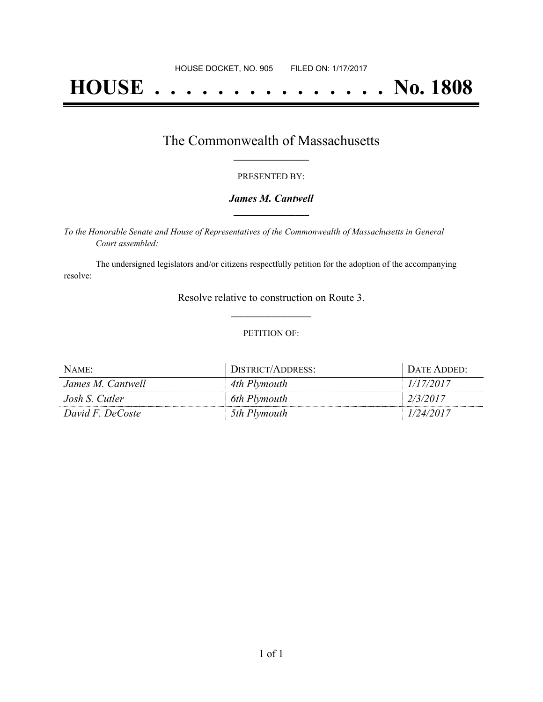# **HOUSE . . . . . . . . . . . . . . . No. 1808**

### The Commonwealth of Massachusetts **\_\_\_\_\_\_\_\_\_\_\_\_\_\_\_\_\_**

#### PRESENTED BY:

#### *James M. Cantwell* **\_\_\_\_\_\_\_\_\_\_\_\_\_\_\_\_\_**

*To the Honorable Senate and House of Representatives of the Commonwealth of Massachusetts in General Court assembled:*

The undersigned legislators and/or citizens respectfully petition for the adoption of the accompanying resolve:

> Resolve relative to construction on Route 3. **\_\_\_\_\_\_\_\_\_\_\_\_\_\_\_**

#### PETITION OF:

| NAME:             | DISTRICT/ADDRESS: | <b>DATE ADDED:</b> |
|-------------------|-------------------|--------------------|
| James M. Cantwell | 4th Plymouth      | 1/17/2017          |
| Josh S. Cutler    | 6th Plymouth      | 2/3/2017           |
| David F. DeCoste  | 5th Plymouth      | 1/24/2017          |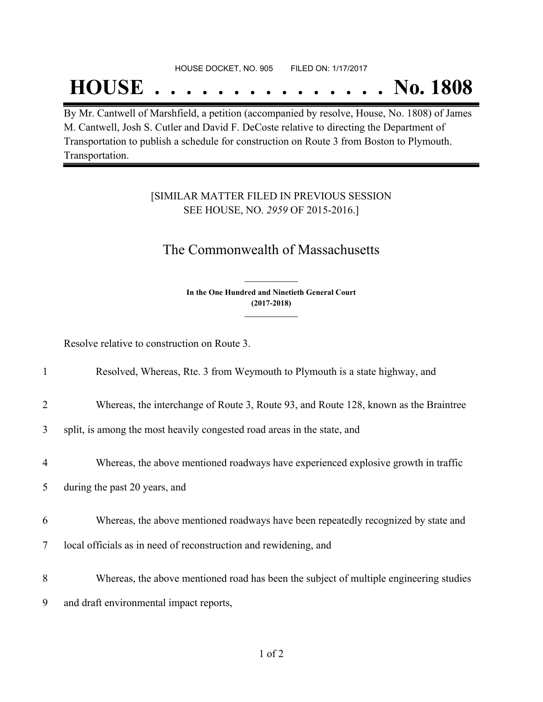#### HOUSE DOCKET, NO. 905 FILED ON: 1/17/2017

## **HOUSE . . . . . . . . . . . . . . . No. 1808**

By Mr. Cantwell of Marshfield, a petition (accompanied by resolve, House, No. 1808) of James M. Cantwell, Josh S. Cutler and David F. DeCoste relative to directing the Department of Transportation to publish a schedule for construction on Route 3 from Boston to Plymouth. Transportation.

#### [SIMILAR MATTER FILED IN PREVIOUS SESSION SEE HOUSE, NO. *2959* OF 2015-2016.]

## The Commonwealth of Massachusetts

**In the One Hundred and Ninetieth General Court (2017-2018) \_\_\_\_\_\_\_\_\_\_\_\_\_\_\_**

**\_\_\_\_\_\_\_\_\_\_\_\_\_\_\_**

Resolve relative to construction on Route 3.

| $\mathbf{1}$   | Resolved, Whereas, Rte. 3 from Weymouth to Plymouth is a state highway, and            |
|----------------|----------------------------------------------------------------------------------------|
| $\overline{2}$ | Whereas, the interchange of Route 3, Route 93, and Route 128, known as the Braintree   |
| 3              | split, is among the most heavily congested road areas in the state, and                |
| 4              | Whereas, the above mentioned roadways have experienced explosive growth in traffic     |
| 5              | during the past 20 years, and                                                          |
| 6              | Whereas, the above mentioned roadways have been repeatedly recognized by state and     |
| 7              | local officials as in need of reconstruction and rewidening, and                       |
| 8              | Whereas, the above mentioned road has been the subject of multiple engineering studies |
| 9              | and draft environmental impact reports,                                                |